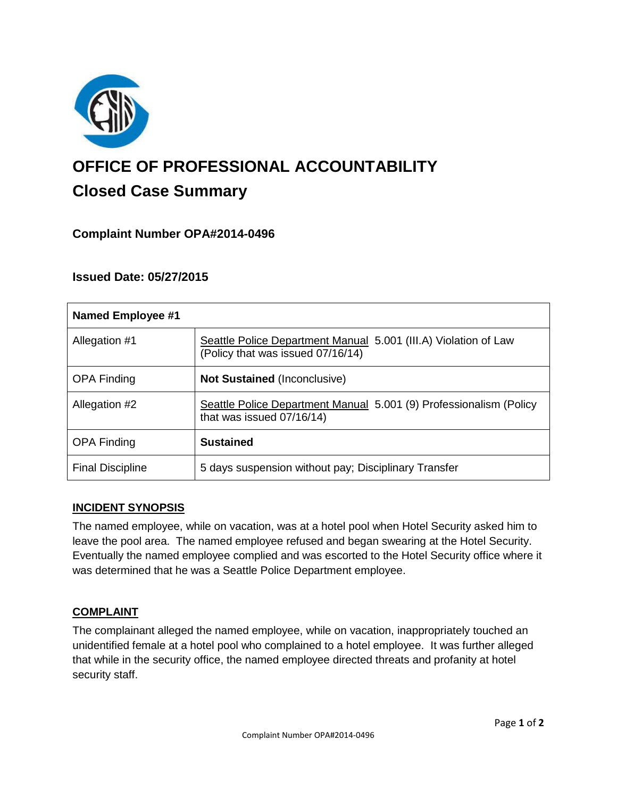

# **OFFICE OF PROFESSIONAL ACCOUNTABILITY Closed Case Summary**

## **Complaint Number OPA#2014-0496**

## **Issued Date: 05/27/2015**

| <b>Named Employee #1</b> |                                                                                                      |
|--------------------------|------------------------------------------------------------------------------------------------------|
| Allegation #1            | Seattle Police Department Manual 5.001 (III.A) Violation of Law<br>(Policy that was issued 07/16/14) |
| <b>OPA Finding</b>       | <b>Not Sustained (Inconclusive)</b>                                                                  |
| Allegation #2            | Seattle Police Department Manual 5.001 (9) Professionalism (Policy<br>that was issued 07/16/14)      |
| <b>OPA Finding</b>       | <b>Sustained</b>                                                                                     |
| <b>Final Discipline</b>  | 5 days suspension without pay; Disciplinary Transfer                                                 |

## **INCIDENT SYNOPSIS**

The named employee, while on vacation, was at a hotel pool when Hotel Security asked him to leave the pool area. The named employee refused and began swearing at the Hotel Security. Eventually the named employee complied and was escorted to the Hotel Security office where it was determined that he was a Seattle Police Department employee.

## **COMPLAINT**

The complainant alleged the named employee, while on vacation, inappropriately touched an unidentified female at a hotel pool who complained to a hotel employee. It was further alleged that while in the security office, the named employee directed threats and profanity at hotel security staff.